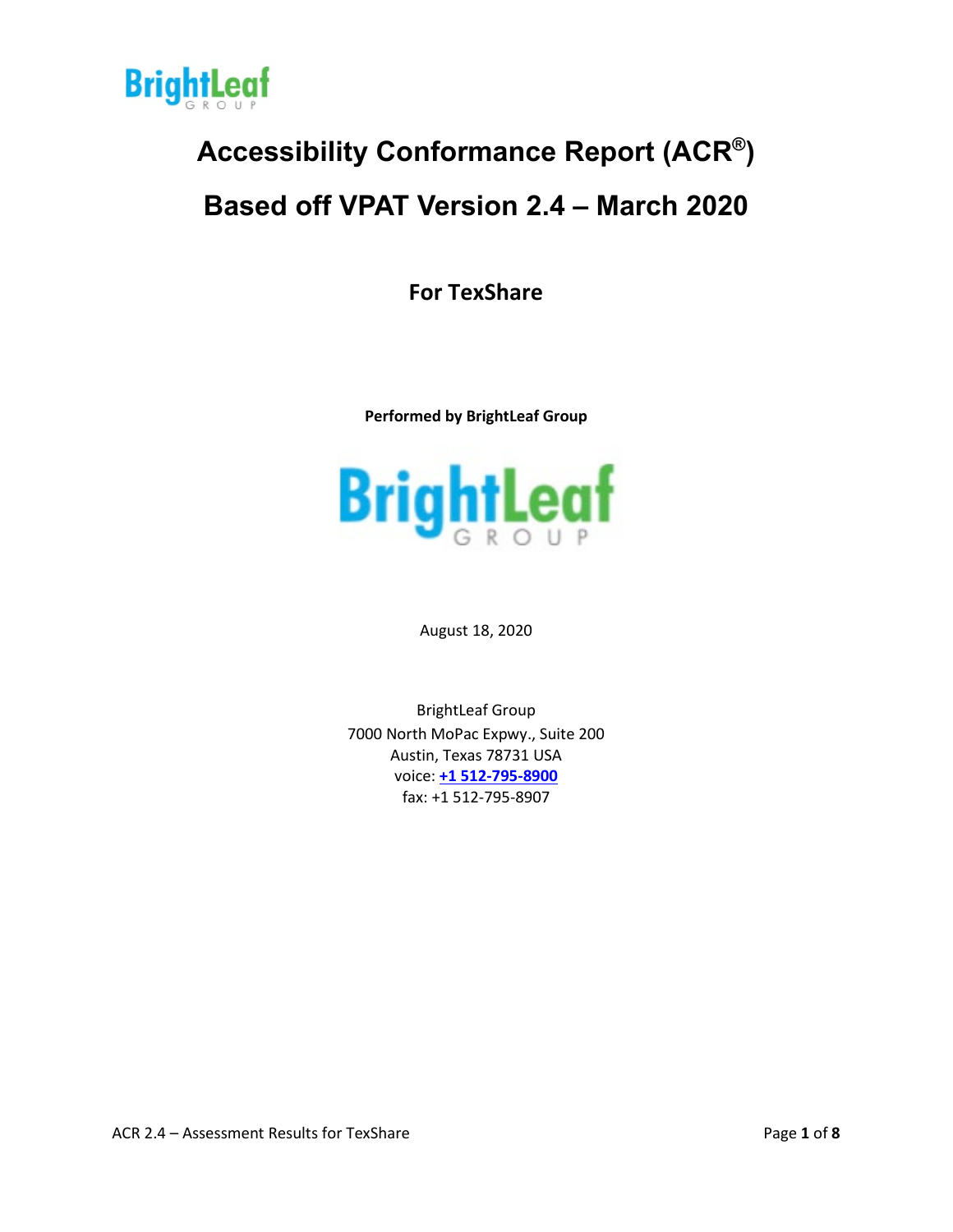

# **Accessibility Conformance Report (ACR®)**

# **Based off VPAT Version 2.4 – March 2020**

**For TexShare**

**Performed by BrightLeaf Group**



August 18, 2020

BrightLeaf Group 7000 North MoPac Expwy., Suite 200 Austin, Texas 78731 USA voice: **[+1 512-795-8900](tel://512-795-8900/)** fax: +1 512-795-8907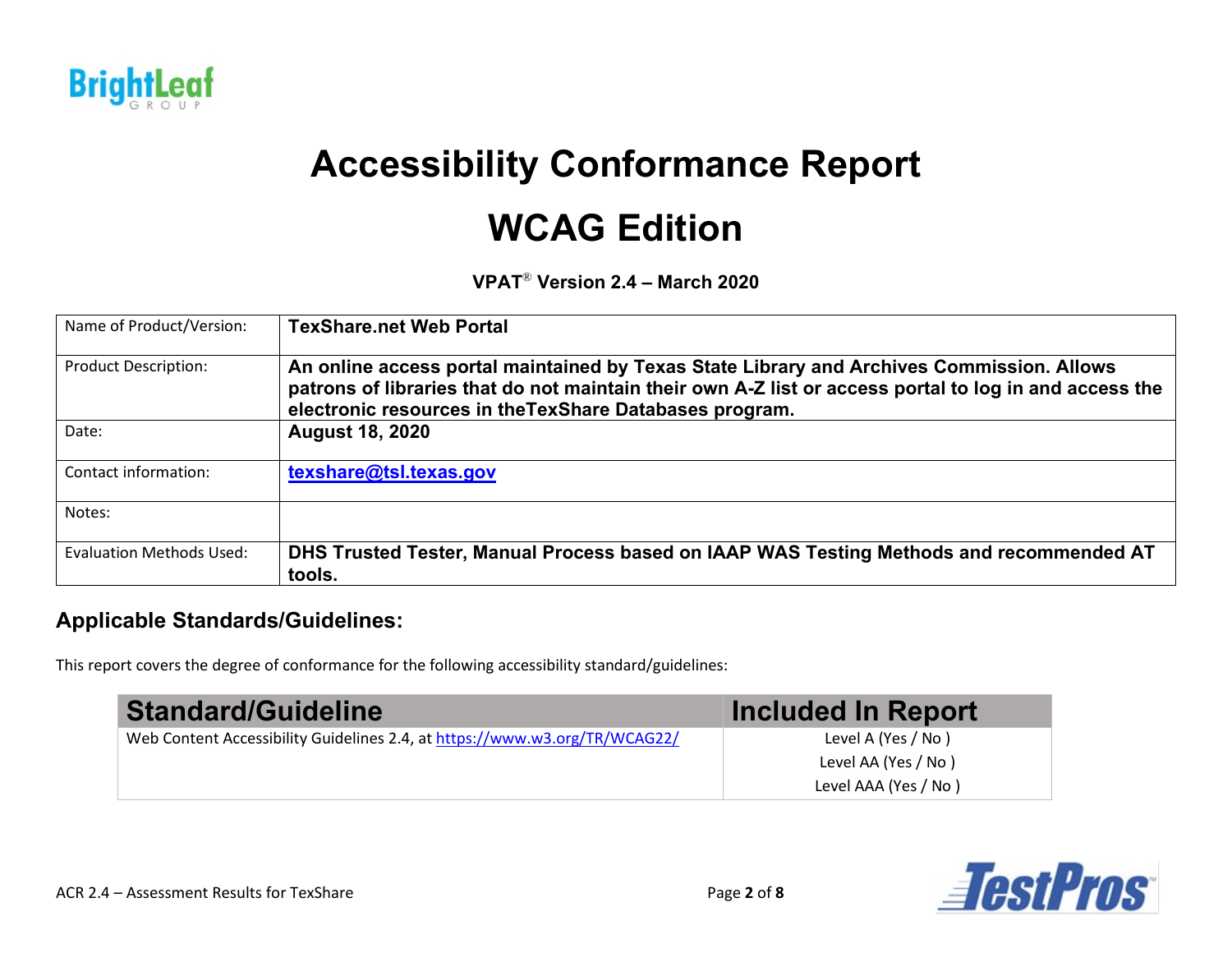

# **Accessibility Conformance Report**

# **WCAG Edition**

**VPAT**® **Version 2.4 – March 2020**

| Name of Product/Version:    | <b>TexShare.net Web Portal</b>                                                                                                                                                                                                                                 |
|-----------------------------|----------------------------------------------------------------------------------------------------------------------------------------------------------------------------------------------------------------------------------------------------------------|
| <b>Product Description:</b> | An online access portal maintained by Texas State Library and Archives Commission. Allows<br>patrons of libraries that do not maintain their own A-Z list or access portal to log in and access the<br>electronic resources in the TexShare Databases program. |
| Date:                       | <b>August 18, 2020</b>                                                                                                                                                                                                                                         |
| Contact information:        | texshare@tsl.texas.gov                                                                                                                                                                                                                                         |
| Notes:                      |                                                                                                                                                                                                                                                                |
| Evaluation Methods Used:    | DHS Trusted Tester, Manual Process based on IAAP WAS Testing Methods and recommended AT<br>tools.                                                                                                                                                              |

#### **Applicable Standards/Guidelines:**

This report covers the degree of conformance for the following accessibility standard/guidelines:

| <b>Standard/Guideline</b>                                                  | Included In Report   |
|----------------------------------------------------------------------------|----------------------|
| Web Content Accessibility Guidelines 2.4, at https://www.w3.org/TR/WCAG22/ | Level A (Yes / No)   |
|                                                                            | Level AA (Yes / No)  |
|                                                                            | Level AAA (Yes / No) |

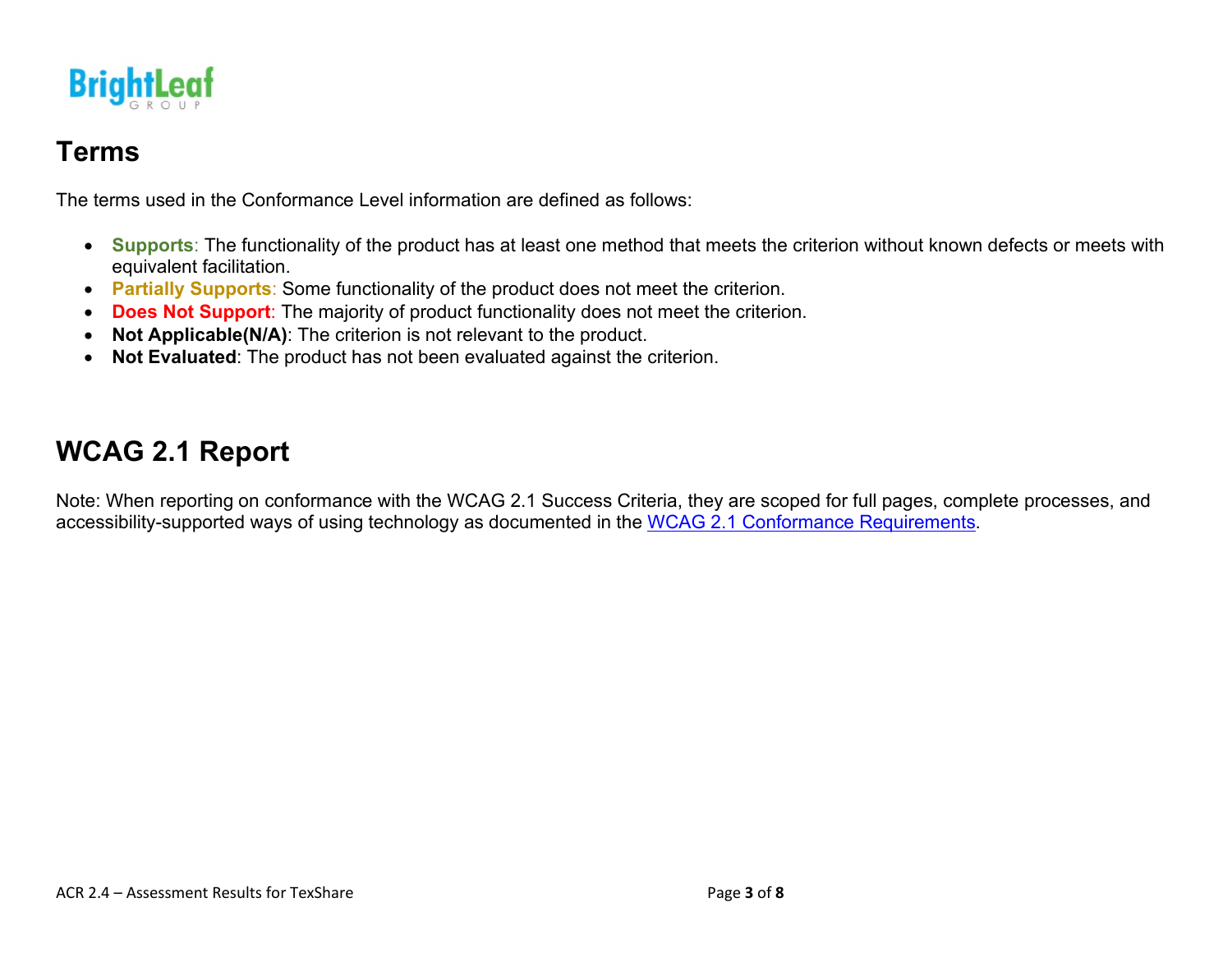

## **Terms**

The terms used in the Conformance Level information are defined as follows:

- **Supports**: The functionality of the product has at least one method that meets the criterion without known defects or meets with equivalent facilitation.
- **Partially Supports**: Some functionality of the product does not meet the criterion.
- **Does Not Support**: The majority of product functionality does not meet the criterion.
- **Not Applicable(N/A)**: The criterion is not relevant to the product.
- **Not Evaluated**: The product has not been evaluated against the criterion.

## **WCAG 2.1 Report**

Note: When reporting on conformance with the WCAG 2.1 Success Criteria, they are scoped for full pages, complete processes, and accessibility-supported ways of using technology as documented in the [WCAG 2.1 Conformance Requirements.](https://www.w3.org/WAI/standards-guidelines/wcag/)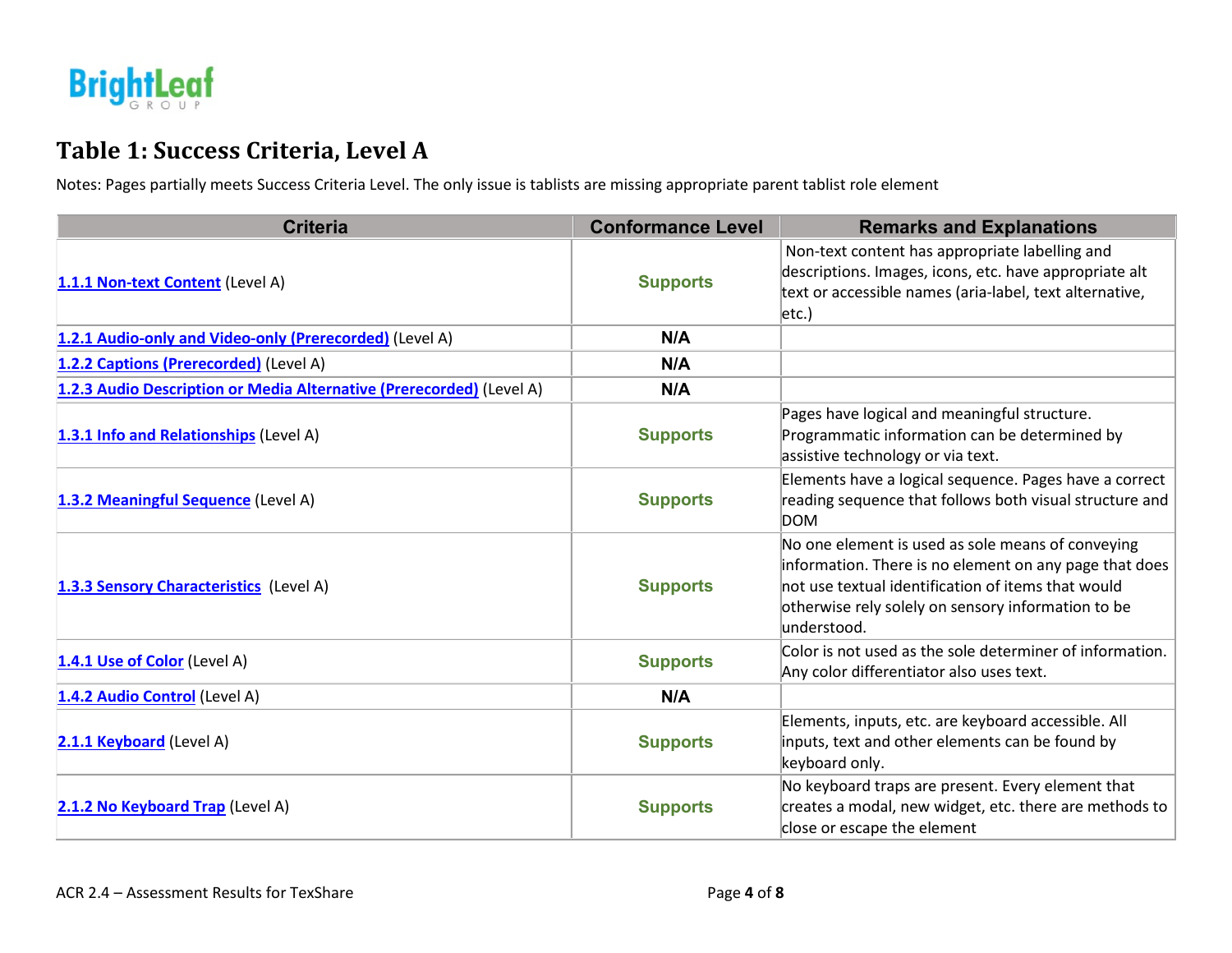

#### **Table 1: Success Criteria, Level A**

Notes: Pages partially meets Success Criteria Level. The only issue is tablists are missing appropriate parent tablist role element

| <b>Criteria</b>                                                      | <b>Conformance Level</b> | <b>Remarks and Explanations</b>                                                                                                                                                                                                            |
|----------------------------------------------------------------------|--------------------------|--------------------------------------------------------------------------------------------------------------------------------------------------------------------------------------------------------------------------------------------|
| 1.1.1 Non-text Content (Level A)                                     | <b>Supports</b>          | Non-text content has appropriate labelling and<br>descriptions. Images, icons, etc. have appropriate alt<br>text or accessible names (aria-label, text alternative,<br>$ $ etc. $ $                                                        |
| 1.2.1 Audio-only and Video-only (Prerecorded) (Level A)              | N/A                      |                                                                                                                                                                                                                                            |
| 1.2.2 Captions (Prerecorded) (Level A)                               | N/A                      |                                                                                                                                                                                                                                            |
| 1.2.3 Audio Description or Media Alternative (Prerecorded) (Level A) | N/A                      |                                                                                                                                                                                                                                            |
| 1.3.1 Info and Relationships (Level A)                               | <b>Supports</b>          | Pages have logical and meaningful structure.<br>Programmatic information can be determined by<br>assistive technology or via text.                                                                                                         |
| 1.3.2 Meaningful Sequence (Level A)                                  | <b>Supports</b>          | Elements have a logical sequence. Pages have a correct<br>reading sequence that follows both visual structure and<br><b>DOM</b>                                                                                                            |
| 1.3.3 Sensory Characteristics (Level A)                              | <b>Supports</b>          | No one element is used as sole means of conveying<br>information. There is no element on any page that does<br>$ $ not use textual identification of items that would<br>otherwise rely solely on sensory information to be<br>understood. |
| 1.4.1 Use of Color (Level A)                                         | <b>Supports</b>          | Color is not used as the sole determiner of information.<br>Any color differentiator also uses text.                                                                                                                                       |
| 1.4.2 Audio Control (Level A)                                        | N/A                      |                                                                                                                                                                                                                                            |
| 2.1.1 Keyboard (Level A)                                             | <b>Supports</b>          | Elements, inputs, etc. are keyboard accessible. All<br>inputs, text and other elements can be found by<br>keyboard only.                                                                                                                   |
| 2.1.2 No Keyboard Trap (Level A)                                     | <b>Supports</b>          | No keyboard traps are present. Every element that<br>creates a modal, new widget, etc. there are methods to<br>close or escape the element                                                                                                 |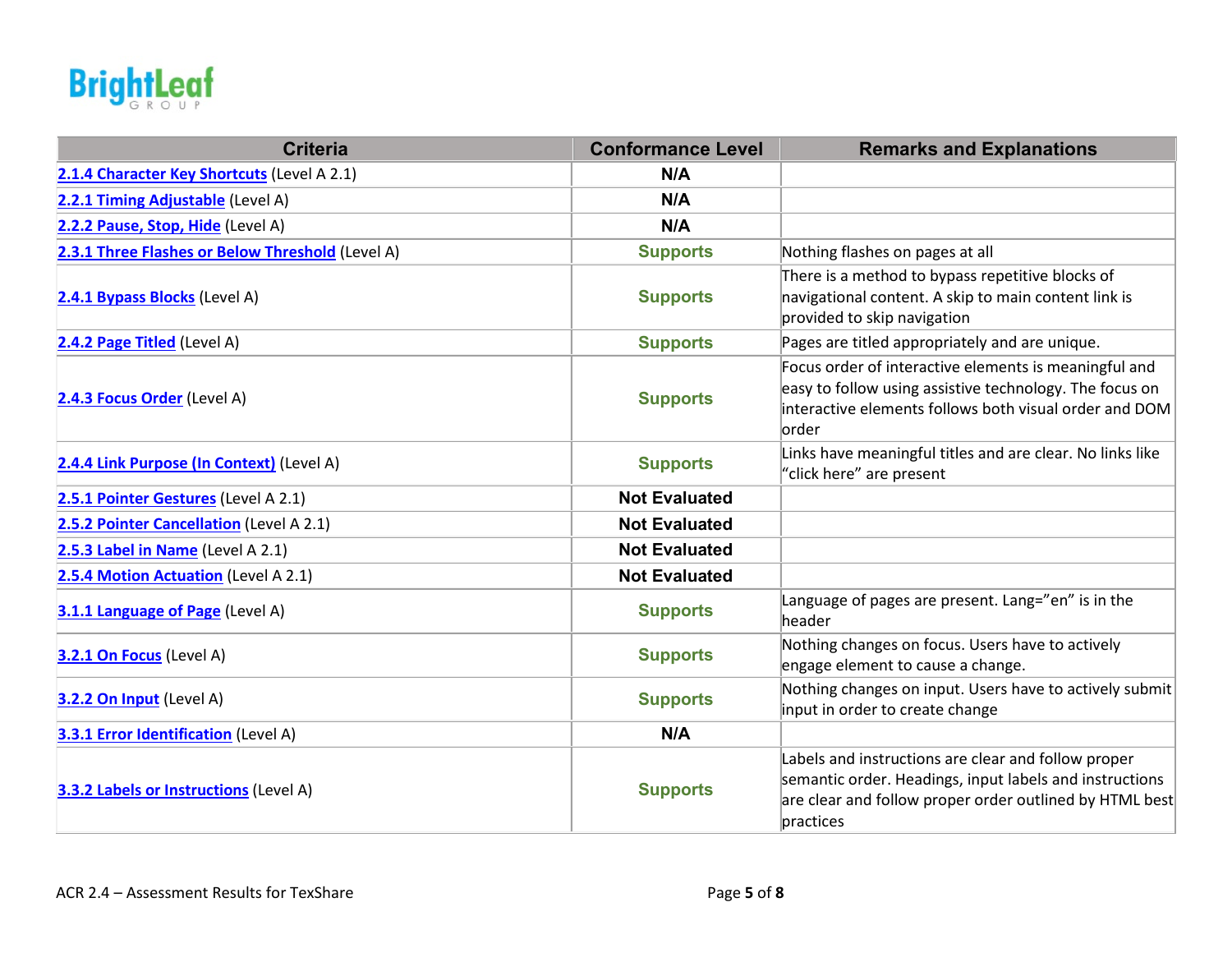

| <b>Criteria</b>                                  | <b>Conformance Level</b> | <b>Remarks and Explanations</b>                                                                                                                                                        |
|--------------------------------------------------|--------------------------|----------------------------------------------------------------------------------------------------------------------------------------------------------------------------------------|
| 2.1.4 Character Key Shortcuts (Level A 2.1)      | N/A                      |                                                                                                                                                                                        |
| 2.2.1 Timing Adjustable (Level A)                | N/A                      |                                                                                                                                                                                        |
| 2.2.2 Pause, Stop, Hide (Level A)                | N/A                      |                                                                                                                                                                                        |
| 2.3.1 Three Flashes or Below Threshold (Level A) | <b>Supports</b>          | Nothing flashes on pages at all                                                                                                                                                        |
| 2.4.1 Bypass Blocks (Level A)                    | <b>Supports</b>          | There is a method to bypass repetitive blocks of<br>navigational content. A skip to main content link is<br>provided to skip navigation                                                |
| 2.4.2 Page Titled (Level A)                      | <b>Supports</b>          | Pages are titled appropriately and are unique.                                                                                                                                         |
| 2.4.3 Focus Order (Level A)                      | <b>Supports</b>          | Focus order of interactive elements is meaningful and<br>easy to follow using assistive technology. The focus on<br>interactive elements follows both visual order and DOM<br>order    |
| 2.4.4 Link Purpose (In Context) (Level A)        | <b>Supports</b>          | Links have meaningful titles and are clear. No links like<br>"click here" are present                                                                                                  |
| 2.5.1 Pointer Gestures (Level A 2.1)             | <b>Not Evaluated</b>     |                                                                                                                                                                                        |
| 2.5.2 Pointer Cancellation (Level A 2.1)         | <b>Not Evaluated</b>     |                                                                                                                                                                                        |
| 2.5.3 Label in Name (Level A 2.1)                | <b>Not Evaluated</b>     |                                                                                                                                                                                        |
| 2.5.4 Motion Actuation (Level A 2.1)             | <b>Not Evaluated</b>     |                                                                                                                                                                                        |
| 3.1.1 Language of Page (Level A)                 | <b>Supports</b>          | Language of pages are present. Lang="en" is in the<br>header                                                                                                                           |
| 3.2.1 On Focus (Level A)                         | <b>Supports</b>          | Nothing changes on focus. Users have to actively<br>engage element to cause a change.                                                                                                  |
| 3.2.2 On Input (Level A)                         | <b>Supports</b>          | Nothing changes on input. Users have to actively submit<br>input in order to create change                                                                                             |
| <b>3.3.1 Error Identification (Level A)</b>      | N/A                      |                                                                                                                                                                                        |
| <b>3.3.2 Labels or Instructions (Level A)</b>    | <b>Supports</b>          | Labels and instructions are clear and follow proper<br>semantic order. Headings, input labels and instructions<br>are clear and follow proper order outlined by HTML best<br>practices |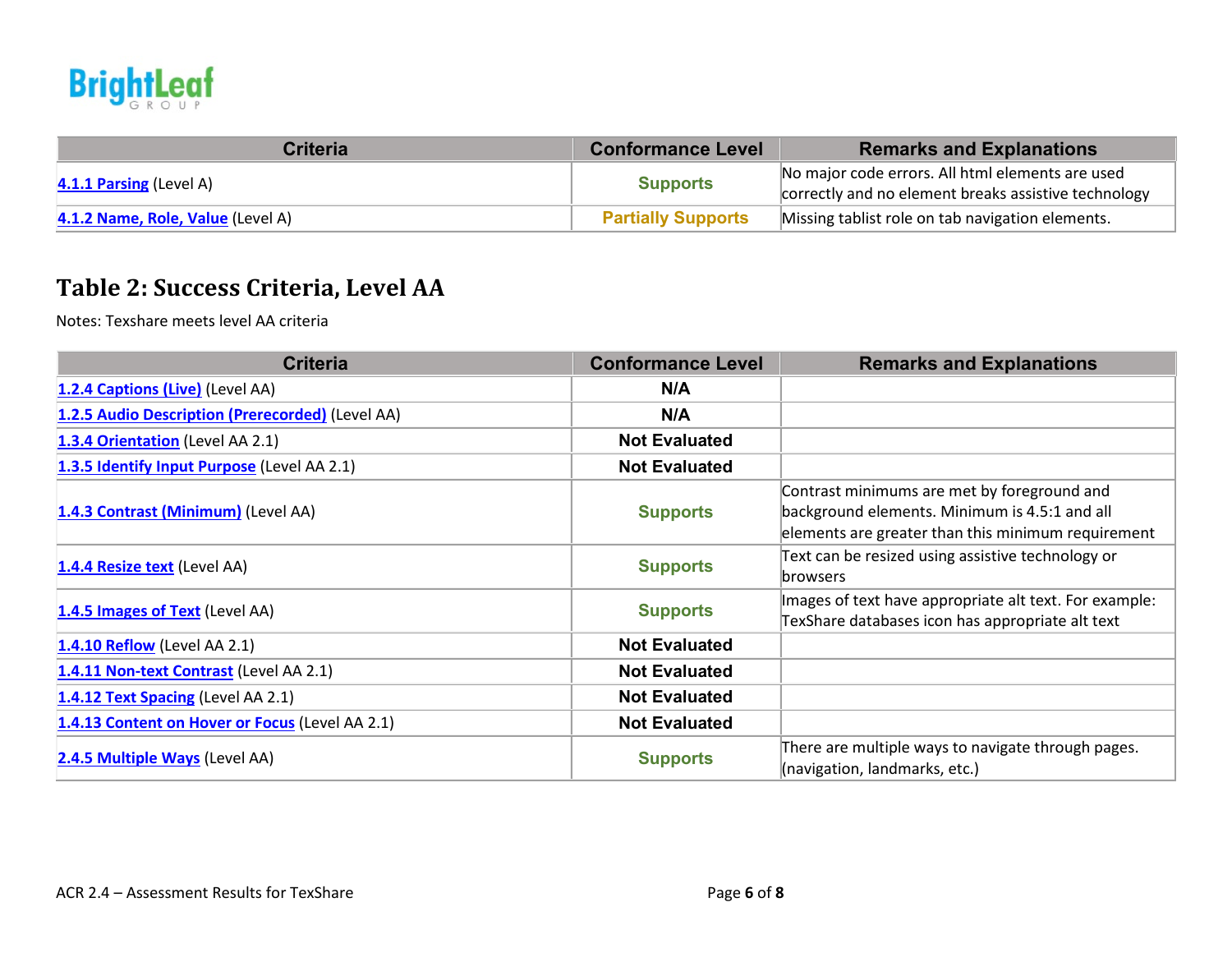

| <b>Criteria</b>                   | <b>Conformance Level</b>  | <b>Remarks and Explanations</b>                                                                          |
|-----------------------------------|---------------------------|----------------------------------------------------------------------------------------------------------|
| 4.1.1 Parsing (Level A)           | <b>Supports</b>           | No major code errors. All html elements are used<br>correctly and no element breaks assistive technology |
| 4.1.2 Name, Role, Value (Level A) | <b>Partially Supports</b> | Missing tablist role on tab navigation elements.                                                         |

### **Table 2: Success Criteria, Level AA**

Notes: Texshare meets level AA criteria

| <b>Criteria</b>                                  | <b>Conformance Level</b> | <b>Remarks and Explanations</b>                                                                                                                    |
|--------------------------------------------------|--------------------------|----------------------------------------------------------------------------------------------------------------------------------------------------|
| 1.2.4 Captions (Live) (Level AA)                 | N/A                      |                                                                                                                                                    |
| 1.2.5 Audio Description (Prerecorded) (Level AA) | N/A                      |                                                                                                                                                    |
| 1.3.4 Orientation (Level AA 2.1)                 | <b>Not Evaluated</b>     |                                                                                                                                                    |
| 1.3.5 Identify Input Purpose (Level AA 2.1)      | <b>Not Evaluated</b>     |                                                                                                                                                    |
| 1.4.3 Contrast (Minimum) (Level AA)              | <b>Supports</b>          | Contrast minimums are met by foreground and<br>background elements. Minimum is 4.5:1 and all<br>elements are greater than this minimum requirement |
| 1.4.4 Resize text (Level AA)                     | <b>Supports</b>          | Text can be resized using assistive technology or<br><b>browsers</b>                                                                               |
| 1.4.5 Images of Text (Level AA)                  | <b>Supports</b>          | Images of text have appropriate alt text. For example:<br>TexShare databases icon has appropriate alt text                                         |
| <b>1.4.10 Reflow</b> (Level AA 2.1)              | <b>Not Evaluated</b>     |                                                                                                                                                    |
| 1.4.11 Non-text Contrast (Level AA 2.1)          | <b>Not Evaluated</b>     |                                                                                                                                                    |
| 1.4.12 Text Spacing (Level AA 2.1)               | <b>Not Evaluated</b>     |                                                                                                                                                    |
| 1.4.13 Content on Hover or Focus (Level AA 2.1)  | <b>Not Evaluated</b>     |                                                                                                                                                    |
| 2.4.5 Multiple Ways (Level AA)                   | <b>Supports</b>          | There are multiple ways to navigate through pages.<br>(navigation, landmarks, etc.)                                                                |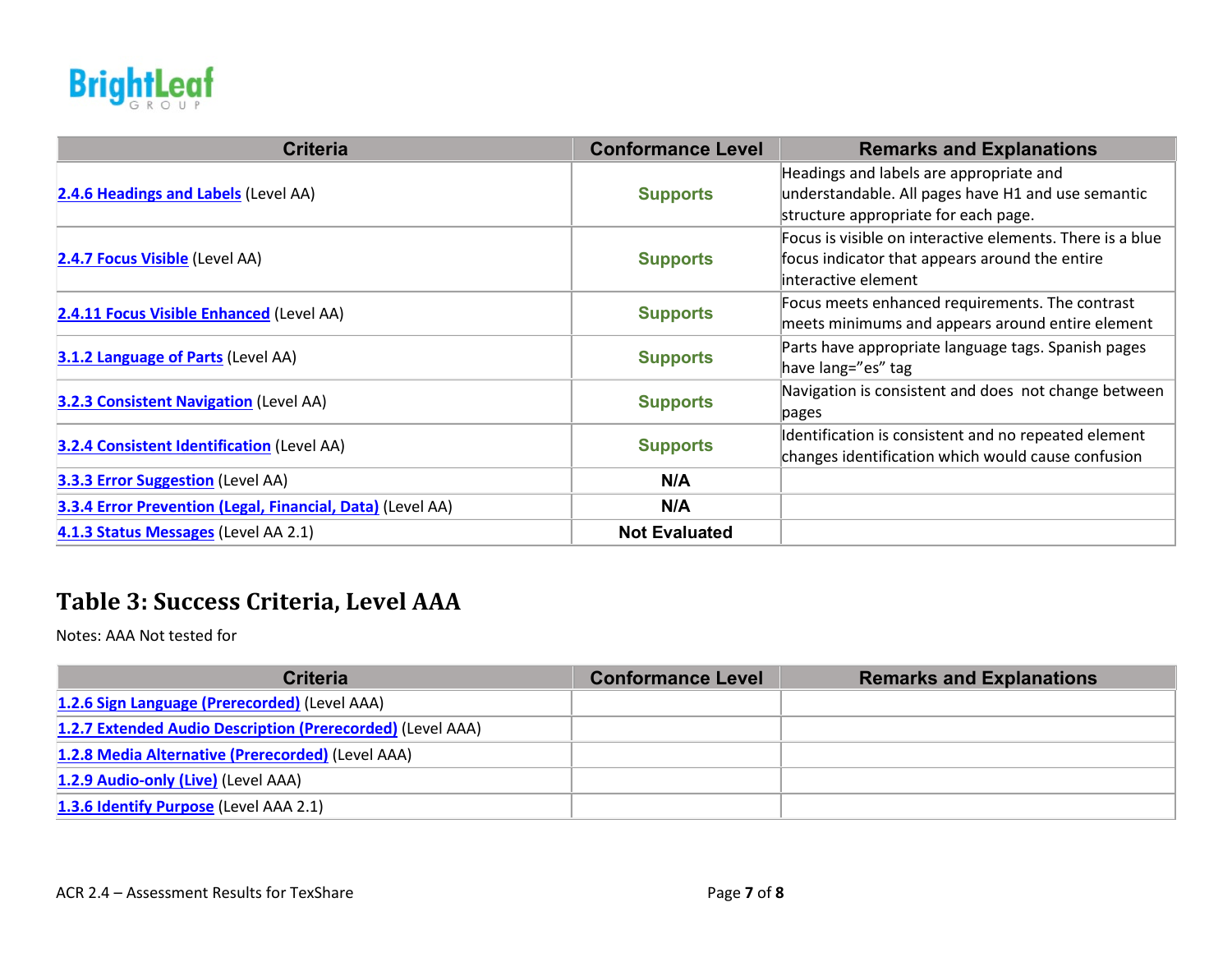

| <b>Criteria</b>                                            | <b>Conformance Level</b> | <b>Remarks and Explanations</b>                                                                                                       |
|------------------------------------------------------------|--------------------------|---------------------------------------------------------------------------------------------------------------------------------------|
| 2.4.6 Headings and Labels (Level AA)                       | <b>Supports</b>          | Headings and labels are appropriate and<br>understandable. All pages have H1 and use semantic<br>structure appropriate for each page. |
| 2.4.7 Focus Visible (Level AA)                             | <b>Supports</b>          | Focus is visible on interactive elements. There is a blue<br>focus indicator that appears around the entire<br>interactive element    |
| 2.4.11 Focus Visible Enhanced (Level AA)                   | <b>Supports</b>          | Focus meets enhanced requirements. The contrast<br>meets minimums and appears around entire element                                   |
| <b>3.1.2 Language of Parts (Level AA)</b>                  | <b>Supports</b>          | Parts have appropriate language tags. Spanish pages<br>have lang="es" tag                                                             |
| <b>3.2.3 Consistent Navigation (Level AA)</b>              | <b>Supports</b>          | Navigation is consistent and does not change between<br>pages                                                                         |
| 3.2.4 Consistent Identification (Level AA)                 | <b>Supports</b>          | Identification is consistent and no repeated element<br>changes identification which would cause confusion                            |
| <b>3.3.3 Error Suggestion (Level AA)</b>                   | N/A                      |                                                                                                                                       |
| 3.3.4 Error Prevention (Legal, Financial, Data) (Level AA) | N/A                      |                                                                                                                                       |
| 4.1.3 Status Messages (Level AA 2.1)                       | <b>Not Evaluated</b>     |                                                                                                                                       |

### **Table 3: Success Criteria, Level AAA**

Notes: AAA Not tested for

| <b>Criteria</b>                                            | <b>Conformance Level</b> | <b>Remarks and Explanations</b> |
|------------------------------------------------------------|--------------------------|---------------------------------|
| 1.2.6 Sign Language (Prerecorded) (Level AAA)              |                          |                                 |
| 1.2.7 Extended Audio Description (Prerecorded) (Level AAA) |                          |                                 |
| 1.2.8 Media Alternative (Prerecorded) (Level AAA)          |                          |                                 |
| 1.2.9 Audio-only (Live) (Level AAA)                        |                          |                                 |
| 1.3.6 Identify Purpose (Level AAA 2.1)                     |                          |                                 |